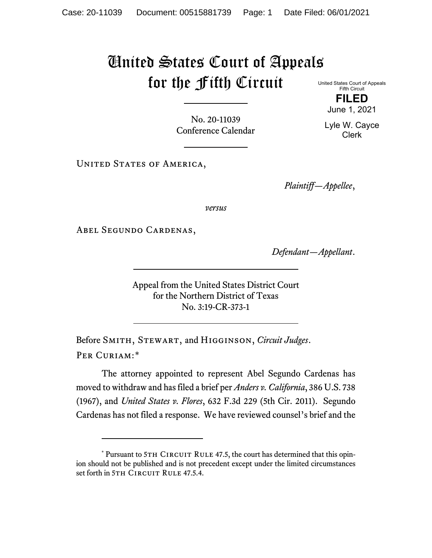## United States Court of Appeals for the Fifth Circuit

No. 20-11039 Conference Calendar

UNITED STATES OF AMERICA,

*Plaintiff—Appellee*,

*versus*

Abel Segundo Cardenas,

*Defendant—Appellant*.

Appeal from the United States District Court for the Northern District of Texas No. 3:19-CR-373-1

Before Smith, Stewart, and Higginson, *Circuit Judges*. Per Curiam:[\\*](#page-0-0)

The attorney appointed to represent Abel Segundo Cardenas has moved to withdraw and has filed a brief per *Anders v. California*, 386 U.S. 738 (1967), and *United States v. Flores*, 632 F.3d 229 (5th Cir. 2011). Segundo Cardenas has not filed a response. We have reviewed counsel's brief and the

United States Court of Appeals Fifth Circuit **FILED**

June 1, 2021

Lyle W. Cayce Clerk

<span id="page-0-0"></span> $*$  Pursuant to 5TH CIRCUIT RULE 47.5, the court has determined that this opinion should not be published and is not precedent except under the limited circumstances set forth in 5TH CIRCUIT RULE 47.5.4.